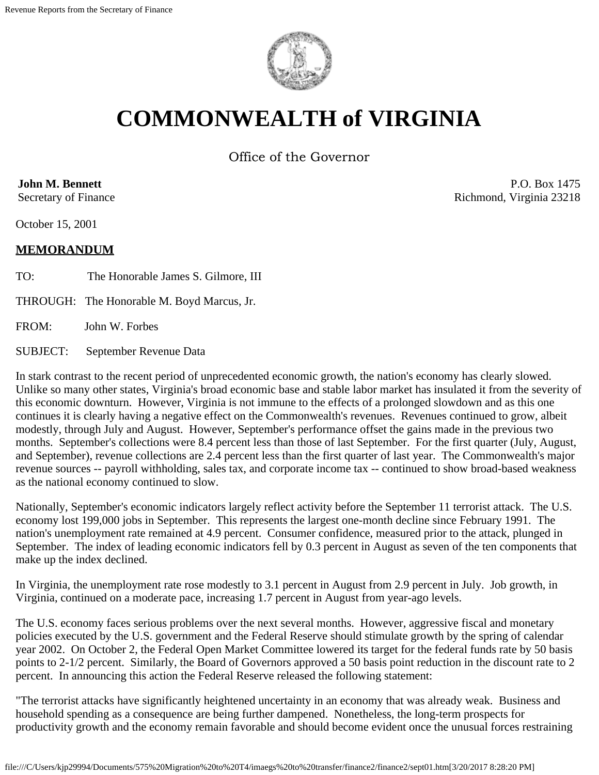

# **COMMONWEALTH of VIRGINIA**

Office of the Governor

**John M. Bennett**

Secretary of Finance

October 15, 2001

# **MEMORANDUM**

TO: The Honorable James S. Gilmore, III

THROUGH: The Honorable M. Boyd Marcus, Jr.

FROM: John W. Forbes

SUBJECT: September Revenue Data

In stark contrast to the recent period of unprecedented economic growth, the nation's economy has clearly slowed. Unlike so many other states, Virginia's broad economic base and stable labor market has insulated it from the severity of this economic downturn. However, Virginia is not immune to the effects of a prolonged slowdown and as this one continues it is clearly having a negative effect on the Commonwealth's revenues. Revenues continued to grow, albeit modestly, through July and August. However, September's performance offset the gains made in the previous two months. September's collections were 8.4 percent less than those of last September. For the first quarter (July, August, and September), revenue collections are 2.4 percent less than the first quarter of last year. The Commonwealth's major revenue sources -- payroll withholding, sales tax, and corporate income tax -- continued to show broad-based weakness as the national economy continued to slow.

Nationally, September's economic indicators largely reflect activity before the September 11 terrorist attack. The U.S. economy lost 199,000 jobs in September. This represents the largest one-month decline since February 1991. The nation's unemployment rate remained at 4.9 percent. Consumer confidence, measured prior to the attack, plunged in September. The index of leading economic indicators fell by 0.3 percent in August as seven of the ten components that make up the index declined.

In Virginia, the unemployment rate rose modestly to 3.1 percent in August from 2.9 percent in July. Job growth, in Virginia, continued on a moderate pace, increasing 1.7 percent in August from year-ago levels.

The U.S. economy faces serious problems over the next several months. However, aggressive fiscal and monetary policies executed by the U.S. government and the Federal Reserve should stimulate growth by the spring of calendar year 2002. On October 2, the Federal Open Market Committee lowered its target for the federal funds rate by 50 basis points to 2-1/2 percent. Similarly, the Board of Governors approved a 50 basis point reduction in the discount rate to 2 percent. In announcing this action the Federal Reserve released the following statement:

"The terrorist attacks have significantly heightened uncertainty in an economy that was already weak. Business and household spending as a consequence are being further dampened. Nonetheless, the long-term prospects for productivity growth and the economy remain favorable and should become evident once the unusual forces restraining

P.O. Box 1475 Richmond, Virginia 23218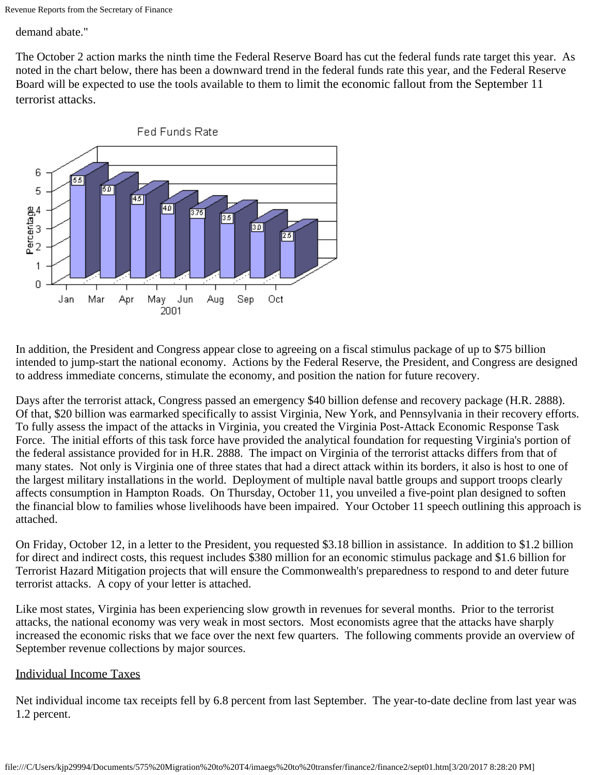Revenue Reports from the Secretary of Finance

demand abate."

The October 2 action marks the ninth time the Federal Reserve Board has cut the federal funds rate target this year. As noted in the chart below, there has been a downward trend in the federal funds rate this year, and the Federal Reserve Board will be expected to use the tools available to them to limit the economic fallout from the September 11 terrorist attacks.



In addition, the President and Congress appear close to agreeing on a fiscal stimulus package of up to \$75 billion intended to jump-start the national economy. Actions by the Federal Reserve, the President, and Congress are designed to address immediate concerns, stimulate the economy, and position the nation for future recovery.

Days after the terrorist attack, Congress passed an emergency \$40 billion defense and recovery package (H.R. 2888). Of that, \$20 billion was earmarked specifically to assist Virginia, New York, and Pennsylvania in their recovery efforts. To fully assess the impact of the attacks in Virginia, you created the Virginia Post-Attack Economic Response Task Force. The initial efforts of this task force have provided the analytical foundation for requesting Virginia's portion of the federal assistance provided for in H.R. 2888. The impact on Virginia of the terrorist attacks differs from that of many states. Not only is Virginia one of three states that had a direct attack within its borders, it also is host to one of the largest military installations in the world. Deployment of multiple naval battle groups and support troops clearly affects consumption in Hampton Roads. On Thursday, October 11, you unveiled a five-point plan designed to soften the financial blow to families whose livelihoods have been impaired. Your October 11 speech outlining this approach is attached.

On Friday, October 12, in a letter to the President, you requested \$3.18 billion in assistance. In addition to \$1.2 billion for direct and indirect costs, this request includes \$380 million for an economic stimulus package and \$1.6 billion for Terrorist Hazard Mitigation projects that will ensure the Commonwealth's preparedness to respond to and deter future terrorist attacks. A copy of your letter is attached.

Like most states, Virginia has been experiencing slow growth in revenues for several months. Prior to the terrorist attacks, the national economy was very weak in most sectors. Most economists agree that the attacks have sharply increased the economic risks that we face over the next few quarters. The following comments provide an overview of September revenue collections by major sources.

#### Individual Income Taxes

Net individual income tax receipts fell by 6.8 percent from last September. The year-to-date decline from last year was 1.2 percent.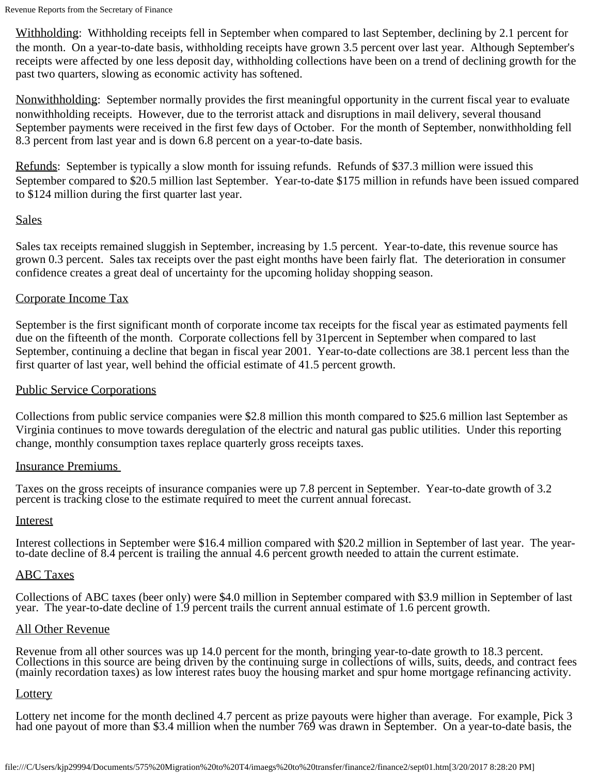Revenue Reports from the Secretary of Finance

Withholding: Withholding receipts fell in September when compared to last September, declining by 2.1 percent for the month. On a year-to-date basis, withholding receipts have grown 3.5 percent over last year. Although September's receipts were affected by one less deposit day, withholding collections have been on a trend of declining growth for the past two quarters, slowing as economic activity has softened.

Nonwithholding: September normally provides the first meaningful opportunity in the current fiscal year to evaluate nonwithholding receipts. However, due to the terrorist attack and disruptions in mail delivery, several thousand September payments were received in the first few days of October. For the month of September, nonwithholding fell 8.3 percent from last year and is down 6.8 percent on a year-to-date basis.

Refunds: September is typically a slow month for issuing refunds. Refunds of \$37.3 million were issued this September compared to \$20.5 million last September. Year-to-date \$175 million in refunds have been issued compared to \$124 million during the first quarter last year.

# **Sales**

Sales tax receipts remained sluggish in September, increasing by 1.5 percent. Year-to-date, this revenue source has grown 0.3 percent. Sales tax receipts over the past eight months have been fairly flat. The deterioration in consumer confidence creates a great deal of uncertainty for the upcoming holiday shopping season.

# Corporate Income Tax

September is the first significant month of corporate income tax receipts for the fiscal year as estimated payments fell due on the fifteenth of the month. Corporate collections fell by 31percent in September when compared to last September, continuing a decline that began in fiscal year 2001. Year-to-date collections are 38.1 percent less than the first quarter of last year, well behind the official estimate of 41.5 percent growth.

### Public Service Corporations

Collections from public service companies were \$2.8 million this month compared to \$25.6 million last September as Virginia continues to move towards deregulation of the electric and natural gas public utilities. Under this reporting change, monthly consumption taxes replace quarterly gross receipts taxes.

#### Insurance Premiums

Taxes on the gross receipts of insurance companies were up 7.8 percent in September. Year-to-date growth of 3.2 percent is tracking close to the estimate required to meet the current annual forecast.

#### Interest

Interest collections in September were \$16.4 million compared with \$20.2 million in September of last year. The year-<br>to-date decline of 8.4 percent is trailing the annual 4.6 percent growth needed to attain the current es

# ABC Taxes

Collections of ABC taxes (beer only) were \$4.0 million in September compared with \$3.9 million in September of last year. The year-to-date decline of 1.9 percent trails the current annual estimate of 1.6 percent growth.

#### All Other Revenue

Revenue from all other sources was up 14.0 percent for the month, bringing year-to-date growth to 18.3 percent.<br>Collections in this source are being driven by the continuing surge in collections of wills, suits, deeds, and (mainly recordation taxes) as low interest rates buoy the housing market and spur home mortgage refinancing activity.

#### **Lottery**

Lottery net income for the month declined 4.7 percent as prize payouts were higher than average. For example, Pick 3 had one payout of more than \$3.4 million when the number 769 was drawn in September. On a year-to-date basis, the